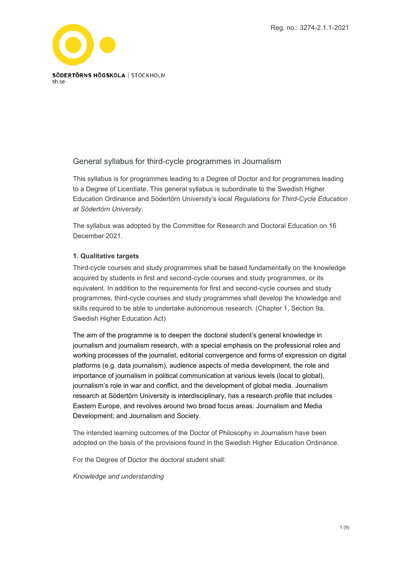

# General syllabus for third-cycle programmes in Journalism

This syllabus is for programmes leading to a Degree of Doctor and for programmes leading to a Degree of Licentiate. This general syllabus is subordinate to the Swedish Higher Education Ordinance and Södertörn University's local *Regulations for Third-Cycle Education at Södertörn University*.

The syllabus was adopted by the Committee for Research and Doctoral Education on 16 December 2021.

# **1. Qualitative targets**

Third-cycle courses and study programmes shall be based fundamentally on the knowledge acquired by students in first and second-cycle courses and study programmes, or its equivalent. In addition to the requirements for first and second-cycle courses and study programmes, third-cycle courses and study programmes shall develop the knowledge and skills required to be able to undertake autonomous research. (Chapter 1, Section 9a, Swedish Higher Education Act)

The aim of the programme is to deepen the doctoral student's general knowledge in journalism and journalism research, with a special emphasis on the professional roles and working processes of the journalist, editorial convergence and forms of expression on digital platforms (e.g. data journalism), audience aspects of media development, the role and importance of journalism in political communication at various levels (local to global), journalism's role in war and conflict, and the development of global media. Journalism research at Södertörn University is interdisciplinary, has a research profile that includes Eastern Europe, and revolves around two broad focus areas: Journalism and Media Development; and Journalism and Society.

The intended learning outcomes of the Doctor of Philosophy in Journalism have been adopted on the basis of the provisions found in the Swedish Higher Education Ordinance.

For the Degree of Doctor the doctoral student shall:

#### *Knowledge and understanding*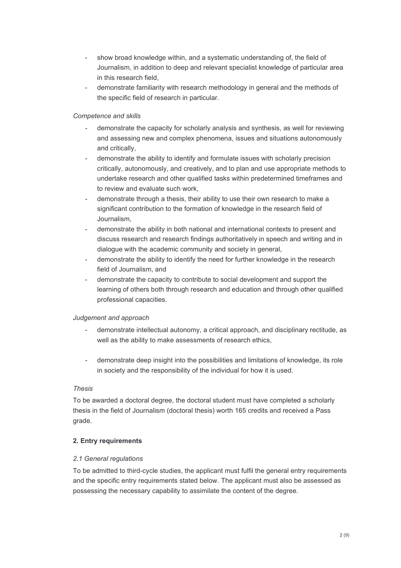- show broad knowledge within, and a systematic understanding of, the field of Journalism, in addition to deep and relevant specialist knowledge of particular area in this research field,
- demonstrate familiarity with research methodology in general and the methods of the specific field of research in particular.

# *Competence and skills*

- demonstrate the capacity for scholarly analysis and synthesis, as well for reviewing and assessing new and complex phenomena, issues and situations autonomously and critically,
- demonstrate the ability to identify and formulate issues with scholarly precision critically, autonomously, and creatively, and to plan and use appropriate methods to undertake research and other qualified tasks within predetermined timeframes and to review and evaluate such work,
- demonstrate through a thesis, their ability to use their own research to make a significant contribution to the formation of knowledge in the research field of Journalism,
- demonstrate the ability in both national and international contexts to present and discuss research and research findings authoritatively in speech and writing and in dialogue with the academic community and society in general,
- demonstrate the ability to identify the need for further knowledge in the research field of Journalism, and
- demonstrate the capacity to contribute to social development and support the learning of others both through research and education and through other qualified professional capacities.

# *Judgement and approach*

- demonstrate intellectual autonomy, a critical approach, and disciplinary rectitude, as well as the ability to make assessments of research ethics,
- demonstrate deep insight into the possibilities and limitations of knowledge, its role in society and the responsibility of the individual for how it is used.

# *Thesis*

To be awarded a doctoral degree, the doctoral student must have completed a scholarly thesis in the field of Journalism (doctoral thesis) worth 165 credits and received a Pass grade.

# **2. Entry requirements**

# *2.1 General regulations*

To be admitted to third-cycle studies, the applicant must fulfil the general entry requirements and the specific entry requirements stated below. The applicant must also be assessed as possessing the necessary capability to assimilate the content of the degree.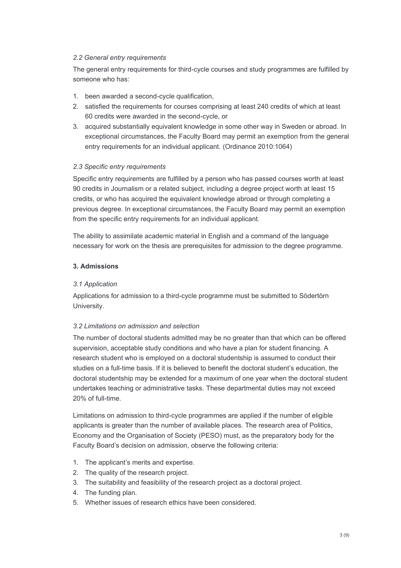# *2.2 General entry requirements*

The general entry requirements for third-cycle courses and study programmes are fulfilled by someone who has:

- 1. been awarded a second-cycle qualification,
- 2. satisfied the requirements for courses comprising at least 240 credits of which at least 60 credits were awarded in the second-cycle, or
- 3. acquired substantially equivalent knowledge in some other way in Sweden or abroad. In exceptional circumstances, the Faculty Board may permit an exemption from the general entry requirements for an individual applicant. (Ordinance 2010:1064)

# *2.3 Specific entry requirements*

Specific entry requirements are fulfilled by a person who has passed courses worth at least 90 credits in Journalism or a related subject, including a degree project worth at least 15 credits, or who has acquired the equivalent knowledge abroad or through completing a previous degree. In exceptional circumstances, the Faculty Board may permit an exemption from the specific entry requirements for an individual applicant.

The ability to assimilate academic material in English and a command of the language necessary for work on the thesis are prerequisites for admission to the degree programme.

# **3. Admissions**

# *3.1 Application*

Applications for admission to a third-cycle programme must be submitted to Södertörn University.

# *3.2 Limitations on admission and selection*

The number of doctoral students admitted may be no greater than that which can be offered supervision, acceptable study conditions and who have a plan for student financing. A research student who is employed on a doctoral studentship is assumed to conduct their studies on a full-time basis. If it is believed to benefit the doctoral student's education, the doctoral studentship may be extended for a maximum of one year when the doctoral student undertakes teaching or administrative tasks. These departmental duties may not exceed 20% of full-time.

Limitations on admission to third-cycle programmes are applied if the number of eligible applicants is greater than the number of available places. The research area of Politics, Economy and the Organisation of Society (PESO) must, as the preparatory body for the Faculty Board's decision on admission, observe the following criteria:

- 1. The applicant's merits and expertise.
- 2. The quality of the research project.
- 3. The suitability and feasibility of the research project as a doctoral project.
- 4. The funding plan.
- 5. Whether issues of research ethics have been considered.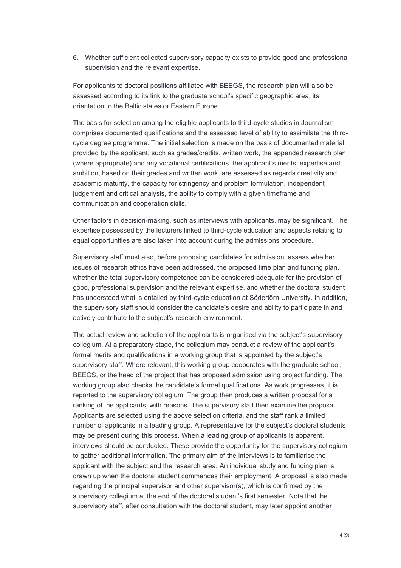6. Whether sufficient collected supervisory capacity exists to provide good and professional supervision and the relevant expertise.

For applicants to doctoral positions affiliated with BEEGS, the research plan will also be assessed according to its link to the graduate school's specific geographic area, its orientation to the Baltic states or Eastern Europe.

The basis for selection among the eligible applicants to third-cycle studies in Journalism comprises documented qualifications and the assessed level of ability to assimilate the thirdcycle degree programme. The initial selection is made on the basis of documented material provided by the applicant, such as grades/credits, written work, the appended research plan (where appropriate) and any vocational certifications. the applicant's merits, expertise and ambition, based on their grades and written work, are assessed as regards creativity and academic maturity, the capacity for stringency and problem formulation, independent judgement and critical analysis, the ability to comply with a given timeframe and communication and cooperation skills.

Other factors in decision-making, such as interviews with applicants, may be significant. The expertise possessed by the lecturers linked to third-cycle education and aspects relating to equal opportunities are also taken into account during the admissions procedure.

Supervisory staff must also, before proposing candidates for admission, assess whether issues of research ethics have been addressed, the proposed time plan and funding plan, whether the total supervisory competence can be considered adequate for the provision of good, professional supervision and the relevant expertise, and whether the doctoral student has understood what is entailed by third-cycle education at Södertörn University. In addition, the supervisory staff should consider the candidate's desire and ability to participate in and actively contribute to the subject's research environment.

The actual review and selection of the applicants is organised via the subject's supervisory collegium. At a preparatory stage, the collegium may conduct a review of the applicant's formal merits and qualifications in a working group that is appointed by the subject's supervisory staff. Where relevant, this working group cooperates with the graduate school, BEEGS, or the head of the project that has proposed admission using project funding. The working group also checks the candidate's formal qualifications. As work progresses, it is reported to the supervisory collegium. The group then produces a written proposal for a ranking of the applicants, with reasons. The supervisory staff then examine the proposal. Applicants are selected using the above selection criteria, and the staff rank a limited number of applicants in a leading group. A representative for the subject's doctoral students may be present during this process. When a leading group of applicants is apparent, interviews should be conducted. These provide the opportunity for the supervisory collegium to gather additional information. The primary aim of the interviews is to familiarise the applicant with the subject and the research area. An individual study and funding plan is drawn up when the doctoral student commences their employment. A proposal is also made regarding the principal supervisor and other supervisor(s), which is confirmed by the supervisory collegium at the end of the doctoral student's first semester. Note that the supervisory staff, after consultation with the doctoral student, may later appoint another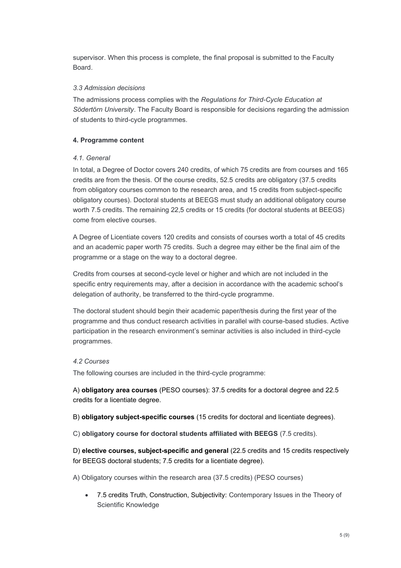supervisor. When this process is complete, the final proposal is submitted to the Faculty Board.

#### *3.3 Admission decisions*

The admissions process complies with the *Regulations for Third-Cycle Education at Södertörn University*. The Faculty Board is responsible for decisions regarding the admission of students to third-cycle programmes.

#### **4. Programme content**

#### *4.1. General*

In total, a Degree of Doctor covers 240 credits, of which 75 credits are from courses and 165 credits are from the thesis. Of the course credits, 52.5 credits are obligatory (37.5 credits from obligatory courses common to the research area, and 15 credits from subject-specific obligatory courses). Doctoral students at BEEGS must study an additional obligatory course worth 7.5 credits. The remaining 22,5 credits or 15 credits (for doctoral students at BEEGS) come from elective courses.

A Degree of Licentiate covers 120 credits and consists of courses worth a total of 45 credits and an academic paper worth 75 credits. Such a degree may either be the final aim of the programme or a stage on the way to a doctoral degree.

Credits from courses at second-cycle level or higher and which are not included in the specific entry requirements may, after a decision in accordance with the academic school's delegation of authority, be transferred to the third-cycle programme.

The doctoral student should begin their academic paper/thesis during the first year of the programme and thus conduct research activities in parallel with course-based studies. Active participation in the research environment's seminar activities is also included in third-cycle programmes.

#### *4.2 Courses*

The following courses are included in the third-cycle programme:

A) **obligatory area courses** (PESO courses): 37.5 credits for a doctoral degree and 22.5 credits for a licentiate degree.

B) **obligatory subject-specific courses** (15 credits for doctoral and licentiate degrees).

C) **obligatory course for doctoral students affiliated with BEEGS** (7.5 credits).

D) **elective courses, subject-specific and general** (22.5 credits and 15 credits respectively for BEEGS doctoral students; 7.5 credits for a licentiate degree).

A) Obligatory courses within the research area (37.5 credits) (PESO courses)

• 7.5 credits Truth, Construction, Subjectivity: Contemporary Issues in the Theory of Scientific Knowledge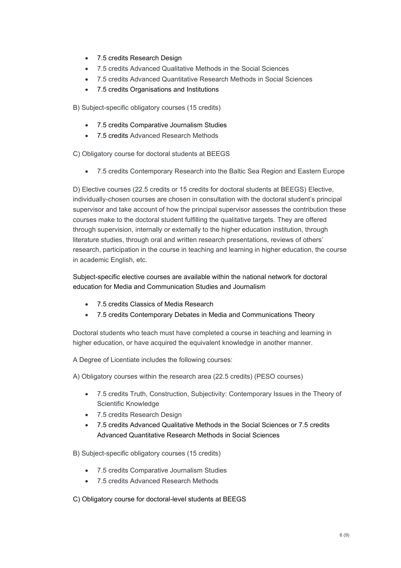- 7.5 credits Research Design
- 7.5 credits Advanced Qualitative Methods in the Social Sciences
- 7.5 credits Advanced Quantitative Research Methods in Social Sciences
- 7.5 credits Organisations and Institutions

B) Subject-specific obligatory courses (15 credits)

- 7.5 credits Comparative Journalism Studies
- 7.5 credits Advanced Research Methods

C) Obligatory course for doctoral students at BEEGS

• 7.5 credits Contemporary Research into the Baltic Sea Region and Eastern Europe

D) Elective courses (22.5 credits or 15 credits for doctoral students at BEEGS) Elective, individually-chosen courses are chosen in consultation with the doctoral student's principal supervisor and take account of how the principal supervisor assesses the contribution these courses make to the doctoral student fulfilling the qualitative targets. They are offered through supervision, internally or externally to the higher education institution, through literature studies, through oral and written research presentations, reviews of others' research, participation in the course in teaching and learning in higher education, the course in academic English, etc.

Subject-specific elective courses are available within the national network for doctoral education for Media and Communication Studies and Journalism

- 7.5 credits Classics of Media Research
- 7.5 credits Contemporary Debates in Media and Communications Theory

Doctoral students who teach must have completed a course in teaching and learning in higher education, or have acquired the equivalent knowledge in another manner.

A Degree of Licentiate includes the following courses:

A) Obligatory courses within the research area (22.5 credits) (PESO courses)

- 7.5 credits Truth, Construction, Subjectivity: Contemporary Issues in the Theory of Scientific Knowledge
- 7.5 credits Research Design
- 7.5 credits Advanced Qualitative Methods in the Social Sciences or 7.5 credits Advanced Quantitative Research Methods in Social Sciences

B) Subject-specific obligatory courses (15 credits)

- 7.5 credits Comparative Journalism Studies
- 7.5 credits Advanced Research Methods

C) Obligatory course for doctoral-level students at BEEGS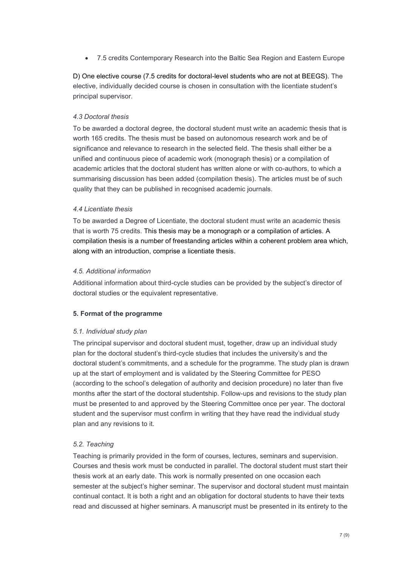• 7.5 credits Contemporary Research into the Baltic Sea Region and Eastern Europe

D) One elective course (7.5 credits for doctoral-level students who are not at BEEGS). The elective, individually decided course is chosen in consultation with the licentiate student's principal supervisor.

# *4.3 Doctoral thesis*

To be awarded a doctoral degree, the doctoral student must write an academic thesis that is worth 165 credits. The thesis must be based on autonomous research work and be of significance and relevance to research in the selected field. The thesis shall either be a unified and continuous piece of academic work (monograph thesis) or a compilation of academic articles that the doctoral student has written alone or with co-authors, to which a summarising discussion has been added (compilation thesis). The articles must be of such quality that they can be published in recognised academic journals.

### *4.4 Licentiate thesis*

To be awarded a Degree of Licentiate, the doctoral student must write an academic thesis that is worth 75 credits. This thesis may be a monograph or a compilation of articles. A compilation thesis is a number of freestanding articles within a coherent problem area which, along with an introduction, comprise a licentiate thesis.

### *4.5. Additional information*

Additional information about third-cycle studies can be provided by the subject's director of doctoral studies or the equivalent representative.

# **5. Format of the programme**

# *5.1. Individual study plan*

The principal supervisor and doctoral student must, together, draw up an individual study plan for the doctoral student's third-cycle studies that includes the university's and the doctoral student's commitments, and a schedule for the programme. The study plan is drawn up at the start of employment and is validated by the Steering Committee for PESO (according to the school's delegation of authority and decision procedure) no later than five months after the start of the doctoral studentship. Follow-ups and revisions to the study plan must be presented to and approved by the Steering Committee once per year. The doctoral student and the supervisor must confirm in writing that they have read the individual study plan and any revisions to it.

# *5.2. Teaching*

Teaching is primarily provided in the form of courses, lectures, seminars and supervision. Courses and thesis work must be conducted in parallel. The doctoral student must start their thesis work at an early date. This work is normally presented on one occasion each semester at the subject's higher seminar. The supervisor and doctoral student must maintain continual contact. It is both a right and an obligation for doctoral students to have their texts read and discussed at higher seminars. A manuscript must be presented in its entirety to the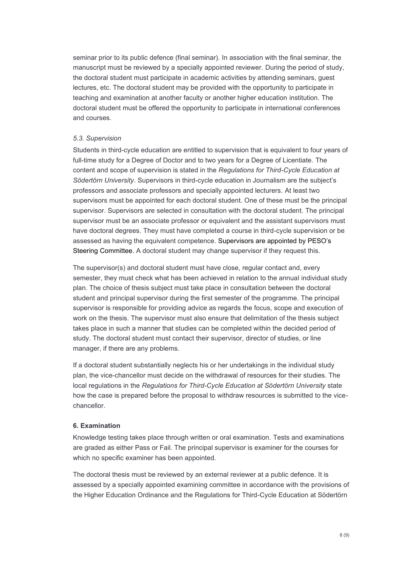seminar prior to its public defence (final seminar). In association with the final seminar, the manuscript must be reviewed by a specially appointed reviewer. During the period of study, the doctoral student must participate in academic activities by attending seminars, guest lectures, etc. The doctoral student may be provided with the opportunity to participate in teaching and examination at another faculty or another higher education institution. The doctoral student must be offered the opportunity to participate in international conferences and courses.

#### *5.3. Supervision*

Students in third-cycle education are entitled to supervision that is equivalent to four years of full-time study for a Degree of Doctor and to two years for a Degree of Licentiate. The content and scope of supervision is stated in the *Regulations for Third-Cycle Education at Södertörn University*. Supervisors in third-cycle education in Journalism are the subject's professors and associate professors and specially appointed lecturers. At least two supervisors must be appointed for each doctoral student. One of these must be the principal supervisor. Supervisors are selected in consultation with the doctoral student. The principal supervisor must be an associate professor or equivalent and the assistant supervisors must have doctoral degrees. They must have completed a course in third-cycle supervision or be assessed as having the equivalent competence. Supervisors are appointed by PESO's Steering Committee. A doctoral student may change supervisor if they request this.

The supervisor(s) and doctoral student must have close, regular contact and, every semester, they must check what has been achieved in relation to the annual individual study plan. The choice of thesis subject must take place in consultation between the doctoral student and principal supervisor during the first semester of the programme. The principal supervisor is responsible for providing advice as regards the focus, scope and execution of work on the thesis. The supervisor must also ensure that delimitation of the thesis subject takes place in such a manner that studies can be completed within the decided period of study. The doctoral student must contact their supervisor, director of studies, or line manager, if there are any problems.

If a doctoral student substantially neglects his or her undertakings in the individual study plan, the vice-chancellor must decide on the withdrawal of resources for their studies. The local regulations in the *Regulations for Third-Cycle Education at Södertörn University* state how the case is prepared before the proposal to withdraw resources is submitted to the vicechancellor.

#### **6. Examination**

Knowledge testing takes place through written or oral examination. Tests and examinations are graded as either Pass or Fail. The principal supervisor is examiner for the courses for which no specific examiner has been appointed.

The doctoral thesis must be reviewed by an external reviewer at a public defence. It is assessed by a specially appointed examining committee in accordance with the provisions of the Higher Education Ordinance and the Regulations for Third-Cycle Education at Södertörn